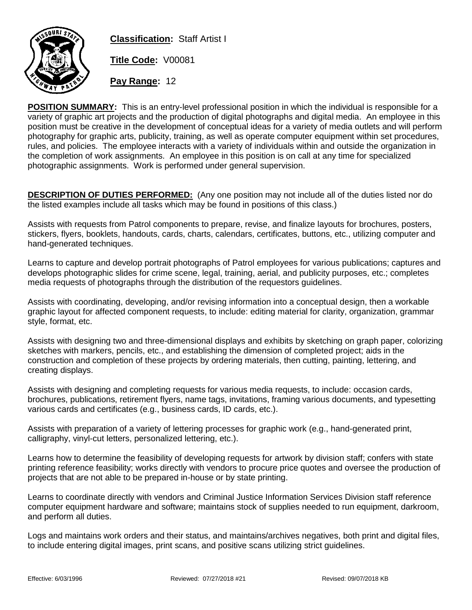

**Classification:** Staff Artist I

**Title Code:** V00081

**Pay Range:** 12

**POSITION SUMMARY:** This is an entry-level professional position in which the individual is responsible for a variety of graphic art projects and the production of digital photographs and digital media. An employee in this position must be creative in the development of conceptual ideas for a variety of media outlets and will perform photography for graphic arts, publicity, training, as well as operate computer equipment within set procedures, rules, and policies. The employee interacts with a variety of individuals within and outside the organization in the completion of work assignments. An employee in this position is on call at any time for specialized photographic assignments. Work is performed under general supervision.

**DESCRIPTION OF DUTIES PERFORMED:** (Any one position may not include all of the duties listed nor do the listed examples include all tasks which may be found in positions of this class.)

Assists with requests from Patrol components to prepare, revise, and finalize layouts for brochures, posters, stickers, flyers, booklets, handouts, cards, charts, calendars, certificates, buttons, etc., utilizing computer and hand-generated techniques.

Learns to capture and develop portrait photographs of Patrol employees for various publications; captures and develops photographic slides for crime scene, legal, training, aerial, and publicity purposes, etc.; completes media requests of photographs through the distribution of the requestors guidelines.

Assists with coordinating, developing, and/or revising information into a conceptual design, then a workable graphic layout for affected component requests, to include: editing material for clarity, organization, grammar style, format, etc.

Assists with designing two and three-dimensional displays and exhibits by sketching on graph paper, colorizing sketches with markers, pencils, etc., and establishing the dimension of completed project; aids in the construction and completion of these projects by ordering materials, then cutting, painting, lettering, and creating displays.

Assists with designing and completing requests for various media requests, to include: occasion cards, brochures, publications, retirement flyers, name tags, invitations, framing various documents, and typesetting various cards and certificates (e.g., business cards, ID cards, etc.).

Assists with preparation of a variety of lettering processes for graphic work (e.g., hand-generated print, calligraphy, vinyl-cut letters, personalized lettering, etc.).

Learns how to determine the feasibility of developing requests for artwork by division staff; confers with state printing reference feasibility; works directly with vendors to procure price quotes and oversee the production of projects that are not able to be prepared in-house or by state printing.

Learns to coordinate directly with vendors and Criminal Justice Information Services Division staff reference computer equipment hardware and software; maintains stock of supplies needed to run equipment, darkroom, and perform all duties.

Logs and maintains work orders and their status, and maintains/archives negatives, both print and digital files, to include entering digital images, print scans, and positive scans utilizing strict guidelines.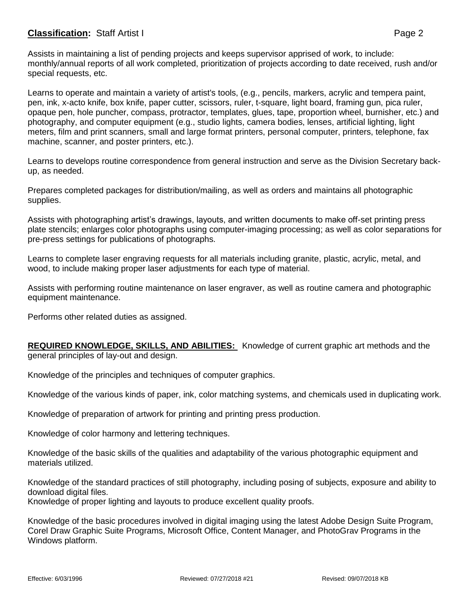## **Classification:** Staff Artist I **Page 2**

Assists in maintaining a list of pending projects and keeps supervisor apprised of work, to include: monthly/annual reports of all work completed, prioritization of projects according to date received, rush and/or special requests, etc.

Learns to operate and maintain a variety of artist's tools, (e.g., pencils, markers, acrylic and tempera paint, pen, ink, x-acto knife, box knife, paper cutter, scissors, ruler, t-square, light board, framing gun, pica ruler, opaque pen, hole puncher, compass, protractor, templates, glues, tape, proportion wheel, burnisher, etc.) and photography, and computer equipment (e.g., studio lights, camera bodies, lenses, artificial lighting, light meters, film and print scanners, small and large format printers, personal computer, printers, telephone, fax machine, scanner, and poster printers, etc.).

Learns to develops routine correspondence from general instruction and serve as the Division Secretary backup, as needed.

Prepares completed packages for distribution/mailing, as well as orders and maintains all photographic supplies.

Assists with photographing artist's drawings, layouts, and written documents to make off-set printing press plate stencils; enlarges color photographs using computer-imaging processing; as well as color separations for pre-press settings for publications of photographs.

Learns to complete laser engraving requests for all materials including granite, plastic, acrylic, metal, and wood, to include making proper laser adjustments for each type of material.

Assists with performing routine maintenance on laser engraver, as well as routine camera and photographic equipment maintenance.

Performs other related duties as assigned.

**REQUIRED KNOWLEDGE, SKILLS, AND ABILITIES:** Knowledge of current graphic art methods and the general principles of lay-out and design.

Knowledge of the principles and techniques of computer graphics.

Knowledge of the various kinds of paper, ink, color matching systems, and chemicals used in duplicating work.

Knowledge of preparation of artwork for printing and printing press production.

Knowledge of color harmony and lettering techniques.

Knowledge of the basic skills of the qualities and adaptability of the various photographic equipment and materials utilized.

Knowledge of the standard practices of still photography, including posing of subjects, exposure and ability to download digital files.

Knowledge of proper lighting and layouts to produce excellent quality proofs.

Knowledge of the basic procedures involved in digital imaging using the latest Adobe Design Suite Program, Corel Draw Graphic Suite Programs, Microsoft Office, Content Manager, and PhotoGrav Programs in the Windows platform.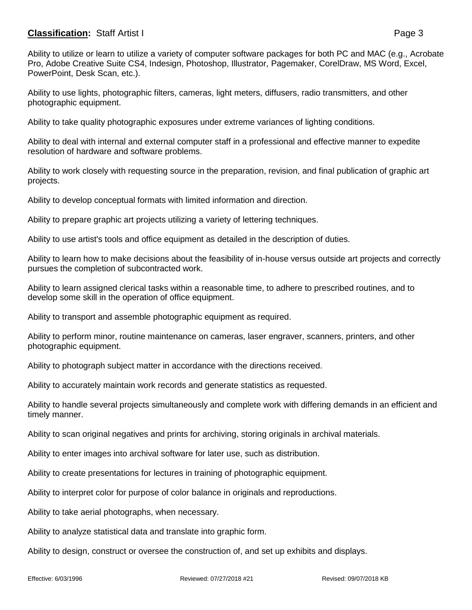## **Classification:** Staff Artist I **Page 3**

Ability to utilize or learn to utilize a variety of computer software packages for both PC and MAC (e.g., Acrobate Pro, Adobe Creative Suite CS4, Indesign, Photoshop, Illustrator, Pagemaker, CorelDraw, MS Word, Excel, PowerPoint, Desk Scan, etc.).

Ability to use lights, photographic filters, cameras, light meters, diffusers, radio transmitters, and other photographic equipment.

Ability to take quality photographic exposures under extreme variances of lighting conditions.

Ability to deal with internal and external computer staff in a professional and effective manner to expedite resolution of hardware and software problems.

Ability to work closely with requesting source in the preparation, revision, and final publication of graphic art projects.

Ability to develop conceptual formats with limited information and direction.

Ability to prepare graphic art projects utilizing a variety of lettering techniques.

Ability to use artist's tools and office equipment as detailed in the description of duties.

Ability to learn how to make decisions about the feasibility of in-house versus outside art projects and correctly pursues the completion of subcontracted work.

Ability to learn assigned clerical tasks within a reasonable time, to adhere to prescribed routines, and to develop some skill in the operation of office equipment.

Ability to transport and assemble photographic equipment as required.

Ability to perform minor, routine maintenance on cameras, laser engraver, scanners, printers, and other photographic equipment.

Ability to photograph subject matter in accordance with the directions received.

Ability to accurately maintain work records and generate statistics as requested.

Ability to handle several projects simultaneously and complete work with differing demands in an efficient and timely manner.

Ability to scan original negatives and prints for archiving, storing originals in archival materials.

Ability to enter images into archival software for later use, such as distribution.

Ability to create presentations for lectures in training of photographic equipment.

Ability to interpret color for purpose of color balance in originals and reproductions.

Ability to take aerial photographs, when necessary.

Ability to analyze statistical data and translate into graphic form.

Ability to design, construct or oversee the construction of, and set up exhibits and displays.